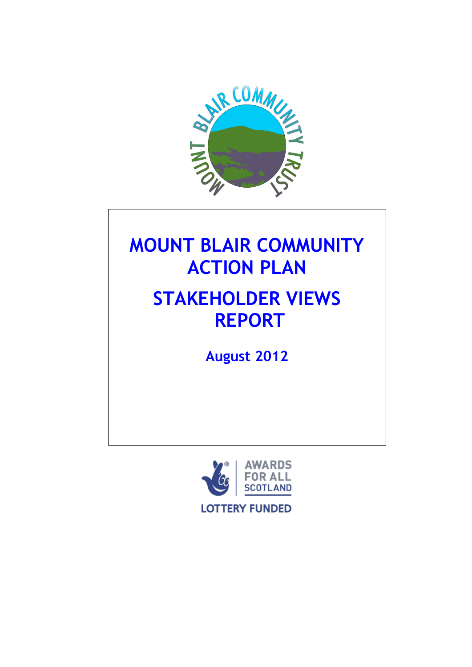

# **MOUNT BLAIR COMMUNITY ACTION PLAN**

# **STAKEHOLDER VIEWS REPORT**

**August 2012**

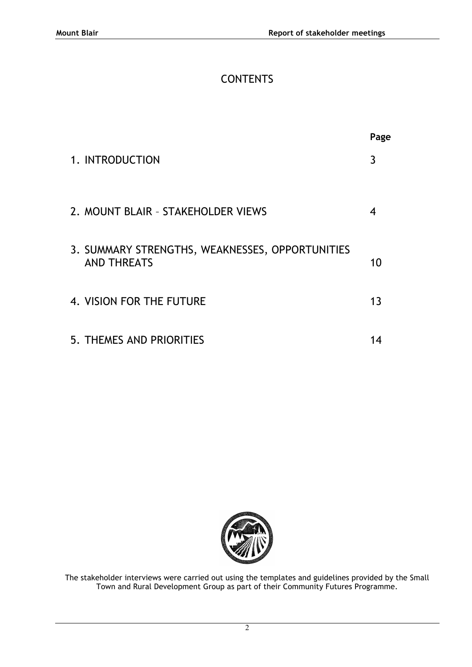# **CONTENTS**

|                                                                       | Page |
|-----------------------------------------------------------------------|------|
| 1. INTRODUCTION                                                       | 3    |
| 2. MOUNT BLAIR - STAKEHOLDER VIEWS                                    | 4    |
| 3. SUMMARY STRENGTHS, WEAKNESSES, OPPORTUNITIES<br><b>AND THREATS</b> | 10   |
| 4. VISION FOR THE FUTURE                                              | 13   |
| 5. THEMES AND PRIORITIES                                              |      |



The stakeholder interviews were carried out using the templates and guidelines provided by the Small Town and Rural Development Group as part of their Community Futures Programme.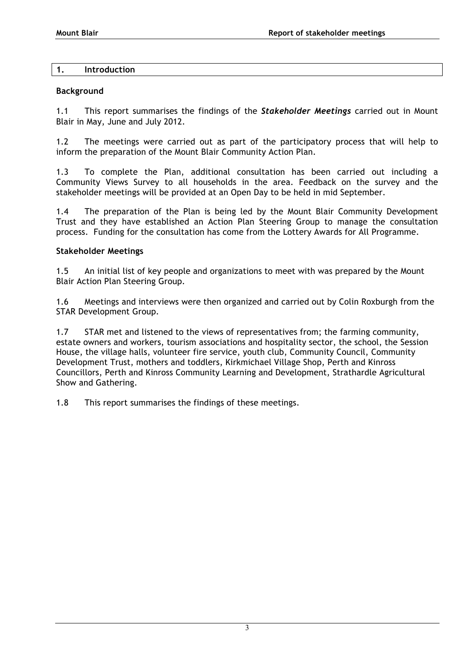### **1. Introduction**

### **Background**

1.1 This report summarises the findings of the *Stakeholder Meetings* carried out in Mount Blair in May, June and July 2012.

1.2 The meetings were carried out as part of the participatory process that will help to inform the preparation of the Mount Blair Community Action Plan.

1.3 To complete the Plan, additional consultation has been carried out including a Community Views Survey to all households in the area. Feedback on the survey and the stakeholder meetings will be provided at an Open Day to be held in mid September.

1.4 The preparation of the Plan is being led by the Mount Blair Community Development Trust and they have established an Action Plan Steering Group to manage the consultation process. Funding for the consultation has come from the Lottery Awards for All Programme.

### **Stakeholder Meetings**

1.5 An initial list of key people and organizations to meet with was prepared by the Mount Blair Action Plan Steering Group.

1.6 Meetings and interviews were then organized and carried out by Colin Roxburgh from the STAR Development Group.

1.7 STAR met and listened to the views of representatives from; the farming community, estate owners and workers, tourism associations and hospitality sector, the school, the Session House, the village halls, volunteer fire service, youth club, Community Council, Community Development Trust, mothers and toddlers, Kirkmichael Village Shop, Perth and Kinross Councillors, Perth and Kinross Community Learning and Development, Strathardle Agricultural Show and Gathering.

1.8 This report summarises the findings of these meetings.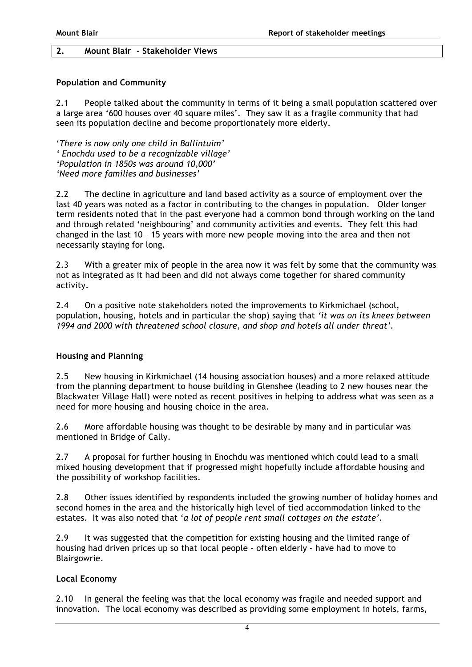### **2. Mount Blair - Stakeholder Views**

### **Population and Community**

2.1 People talked about the community in terms of it being a small population scattered over a large area '600 houses over 40 square miles'. They saw it as a fragile community that had seen its population decline and become proportionately more elderly.

'*There is now only one child in Ballintuim' ' Enochdu used to be a recognizable village' 'Population in 1850s was around 10,000' 'Need more families and businesses'*

2.2 The decline in agriculture and land based activity as a source of employment over the last 40 years was noted as a factor in contributing to the changes in population. Older longer term residents noted that in the past everyone had a common bond through working on the land and through related 'neighbouring' and community activities and events. They felt this had changed in the last 10 – 15 years with more new people moving into the area and then not necessarily staying for long.

2.3 With a greater mix of people in the area now it was felt by some that the community was not as integrated as it had been and did not always come together for shared community activity.

2.4 On a positive note stakeholders noted the improvements to Kirkmichael (school, population, housing, hotels and in particular the shop) saying that *'it was on its knees between 1994 and 2000 with threatened school closure, and shop and hotels all under threat'.*

### **Housing and Planning**

2.5 New housing in Kirkmichael (14 housing association houses) and a more relaxed attitude from the planning department to house building in Glenshee (leading to 2 new houses near the Blackwater Village Hall) were noted as recent positives in helping to address what was seen as a need for more housing and housing choice in the area.

2.6 More affordable housing was thought to be desirable by many and in particular was mentioned in Bridge of Cally.

2.7 A proposal for further housing in Enochdu was mentioned which could lead to a small mixed housing development that if progressed might hopefully include affordable housing and the possibility of workshop facilities.

2.8 Other issues identified by respondents included the growing number of holiday homes and second homes in the area and the historically high level of tied accommodation linked to the estates. It was also noted that '*a lot of people rent small cottages on the estate'.* 

2.9 It was suggested that the competition for existing housing and the limited range of housing had driven prices up so that local people – often elderly – have had to move to Blairgowrie.

# **Local Economy**

2.10 In general the feeling was that the local economy was fragile and needed support and innovation. The local economy was described as providing some employment in hotels, farms,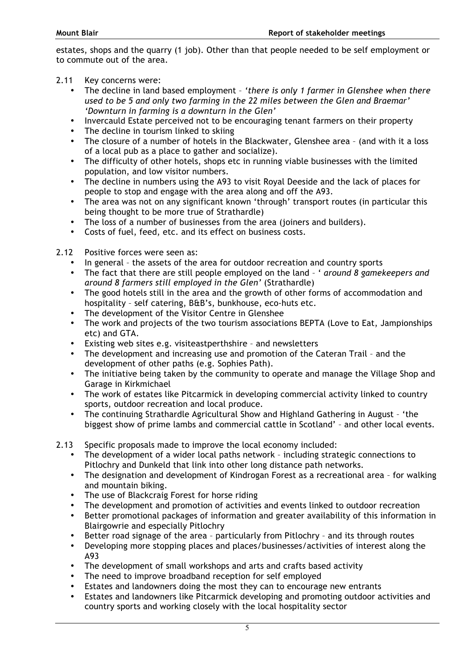estates, shops and the quarry (1 job). Other than that people needed to be self employment or to commute out of the area.

- 2.11 Key concerns were:
	- The decline in land based employment *'there is only 1 farmer in Glenshee when there used to be 5 and only two farming in the 22 miles between the Glen and Braemar' 'Downturn in farming is a downturn in the Glen'*
	- Invercauld Estate perceived not to be encouraging tenant farmers on their property
	- The decline in tourism linked to skiing
	- The closure of a number of hotels in the Blackwater, Glenshee area (and with it a loss of a local pub as a place to gather and socialize).
	- The difficulty of other hotels, shops etc in running viable businesses with the limited population, and low visitor numbers.
	- The decline in numbers using the A93 to visit Royal Deeside and the lack of places for people to stop and engage with the area along and off the A93.
	- The area was not on any significant known 'through' transport routes (in particular this being thought to be more true of Strathardle)
	- The loss of a number of businesses from the area (joiners and builders).
	- Costs of fuel, feed, etc. and its effect on business costs.
- 2.12 Positive forces were seen as:
	- In general the assets of the area for outdoor recreation and country sports
	- The fact that there are still people employed on the land ' *around 8 gamekeepers and around 8 farmers still employed in the Glen'* (Strathardle)
	- The good hotels still in the area and the growth of other forms of accommodation and hospitality – self catering, B&B's, bunkhouse, eco-huts etc.
	- The development of the Visitor Centre in Glenshee
	- The work and projects of the two tourism associations BEPTA (Love to Eat, Jampionships etc) and GTA.
	- Existing web sites e.g. visiteastperthshire and newsletters
	- The development and increasing use and promotion of the Cateran Trail and the development of other paths (e.g. Sophies Path).
	- The initiative being taken by the community to operate and manage the Village Shop and Garage in Kirkmichael
	- The work of estates like Pitcarmick in developing commercial activity linked to country sports, outdoor recreation and local produce.
	- The continuing Strathardle Agricultural Show and Highland Gathering in August 'the biggest show of prime lambs and commercial cattle in Scotland' – and other local events.
- 2.13 Specific proposals made to improve the local economy included:
	- The development of a wider local paths network including strategic connections to Pitlochry and Dunkeld that link into other long distance path networks.
	- The designation and development of Kindrogan Forest as a recreational area for walking and mountain biking.
	- The use of Blackcraig Forest for horse riding
	- The development and promotion of activities and events linked to outdoor recreation
	- Better promotional packages of information and greater availability of this information in Blairgowrie and especially Pitlochry
	- Better road signage of the area particularly from Pitlochry and its through routes<br>• Developing more stopping places and places/businesses/activities of interest along to
	- Developing more stopping places and places/businesses/activities of interest along the A93
	- The development of small workshops and arts and crafts based activity
	- The need to improve broadband reception for self employed
	- Estates and landowners doing the most they can to encourage new entrants
	- Estates and landowners like Pitcarmick developing and promoting outdoor activities and country sports and working closely with the local hospitality sector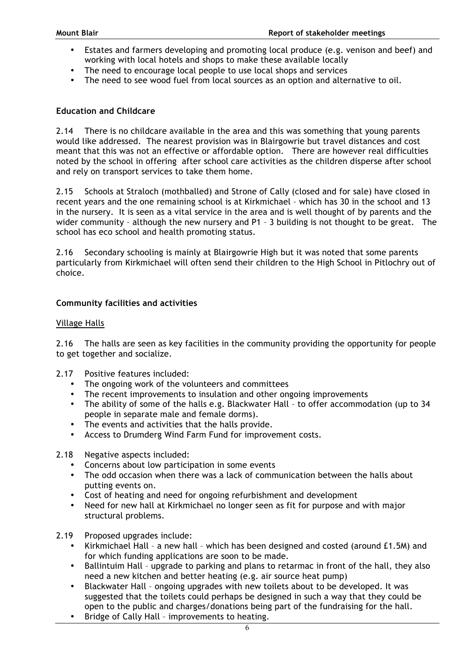- Estates and farmers developing and promoting local produce (e.g. venison and beef) and working with local hotels and shops to make these available locally
- The need to encourage local people to use local shops and services
- The need to see wood fuel from local sources as an option and alternative to oil.

### **Education and Childcare**

2.14 There is no childcare available in the area and this was something that young parents would like addressed. The nearest provision was in Blairgowrie but travel distances and cost meant that this was not an effective or affordable option. There are however real difficulties noted by the school in offering after school care activities as the children disperse after school and rely on transport services to take them home.

2.15 Schools at Straloch (mothballed) and Strone of Cally (closed and for sale) have closed in recent years and the one remaining school is at Kirkmichael – which has 30 in the school and 13 in the nursery. It is seen as a vital service in the area and is well thought of by parents and the wider community – although the new nursery and P1 – 3 building is not thought to be great. The school has eco school and health promoting status.

2.16 Secondary schooling is mainly at Blairgowrie High but it was noted that some parents particularly from Kirkmichael will often send their children to the High School in Pitlochry out of choice.

### **Community facilities and activities**

### Village Halls

2.16 The halls are seen as key facilities in the community providing the opportunity for people to get together and socialize.

- 2.17 Positive features included:
	- The ongoing work of the volunteers and committees
	- The recent improvements to insulation and other ongoing improvements
	- The ability of some of the halls e.g. Blackwater Hall to offer accommodation (up to 34 people in separate male and female dorms).
	- The events and activities that the halls provide.
	- Access to Drumderg Wind Farm Fund for improvement costs.
- 2.18 Negative aspects included:
	- Concerns about low participation in some events
	- The odd occasion when there was a lack of communication between the halls about putting events on.
	- Cost of heating and need for ongoing refurbishment and development
	- Need for new hall at Kirkmichael no longer seen as fit for purpose and with major structural problems.
- 2.19 Proposed upgrades include:
	- Kirkmichael Hall a new hall which has been designed and costed (around £1.5M) and for which funding applications are soon to be made.
	- Ballintuim Hall upgrade to parking and plans to retarmac in front of the hall, they also need a new kitchen and better heating (e.g. air source heat pump)
	- Blackwater Hall ongoing upgrades with new toilets about to be developed. It was suggested that the toilets could perhaps be designed in such a way that they could be open to the public and charges/donations being part of the fundraising for the hall.
	- Bridge of Cally Hall improvements to heating.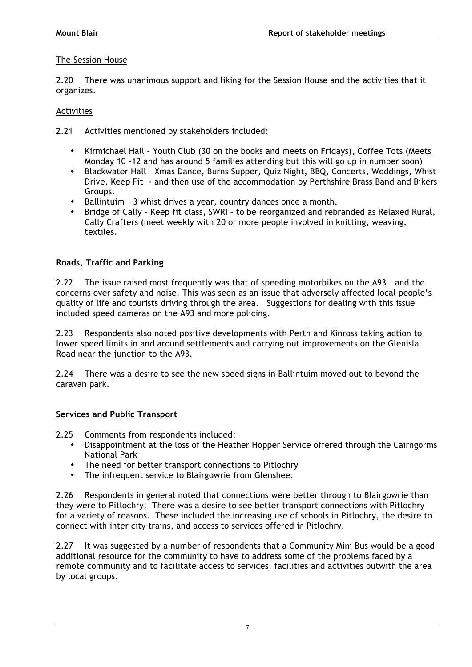### The Session House

2.20 There was unanimous support and liking for the Session House and the activities that it organizes.

### **Activities**

2.21 Activities mentioned by stakeholders included:

- Kirmichael Hall Youth Club (30 on the books and meets on Fridays), Coffee Tots (Meets Monday 10 -12 and has around 5 families attending but this will go up in number soon)
- Blackwater Hall Xmas Dance, Burns Supper, Quiz Night, BBQ, Concerts, Weddings, Whist Drive, Keep Fit - and then use of the accommodation by Perthshire Brass Band and Bikers Groups.
- Ballintuim 3 whist drives a year, country dances once a month.
- Bridge of Cally Keep fit class, SWRI to be reorganized and rebranded as Relaxed Rural, Cally Crafters (meet weekly with 20 or more people involved in knitting, weaving, textiles.

### **Roads, Traffic and Parking**

2.22 The issue raised most frequently was that of speeding motorbikes on the A93 – and the concerns over safety and noise. This was seen as an issue that adversely affected local people's quality of life and tourists driving through the area. Suggestions for dealing with this issue included speed cameras on the A93 and more policing.

2.23 Respondents also noted positive developments with Perth and Kinross taking action to lower speed limits in and around settlements and carrying out improvements on the Glenisla Road near the junction to the A93.

2.24 There was a desire to see the new speed signs in Ballintuim moved out to beyond the caravan park.

### **Services and Public Transport**

2.25 Comments from respondents included:

- Disappointment at the loss of the Heather Hopper Service offered through the Cairngorms National Park
- The need for better transport connections to Pitlochry
- The infrequent service to Blairgowrie from Glenshee.

2.26 Respondents in general noted that connections were better through to Blairgowrie than they were to Pitlochry. There was a desire to see better transport connections with Pitlochry for a variety of reasons. These included the increasing use of schools in Pitlochry, the desire to connect with inter city trains, and access to services offered in Pitlochry.

2.27 It was suggested by a number of respondents that a Community Mini Bus would be a good additional resource for the community to have to address some of the problems faced by a remote community and to facilitate access to services, facilities and activities outwith the area by local groups.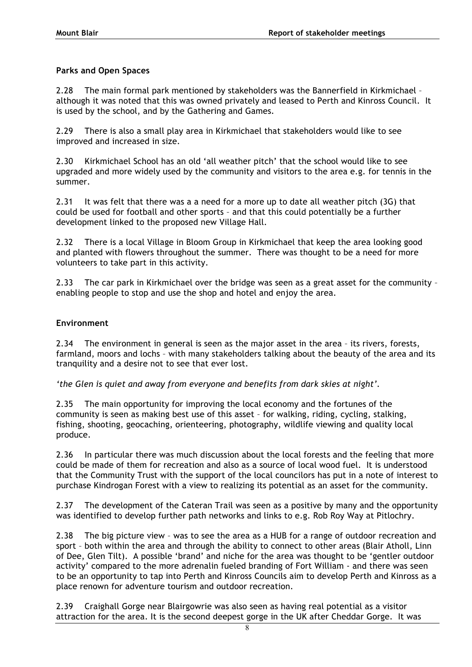# **Parks and Open Spaces**

2.28 The main formal park mentioned by stakeholders was the Bannerfield in Kirkmichael – although it was noted that this was owned privately and leased to Perth and Kinross Council. It is used by the school, and by the Gathering and Games.

2.29 There is also a small play area in Kirkmichael that stakeholders would like to see improved and increased in size.

2.30 Kirkmichael School has an old 'all weather pitch' that the school would like to see upgraded and more widely used by the community and visitors to the area e.g. for tennis in the summer.

2.31 It was felt that there was a a need for a more up to date all weather pitch (3G) that could be used for football and other sports – and that this could potentially be a further development linked to the proposed new Village Hall.

2.32 There is a local Village in Bloom Group in Kirkmichael that keep the area looking good and planted with flowers throughout the summer. There was thought to be a need for more volunteers to take part in this activity.

2.33 The car park in Kirkmichael over the bridge was seen as a great asset for the community – enabling people to stop and use the shop and hotel and enjoy the area.

### **Environment**

2.34 The environment in general is seen as the major asset in the area – its rivers, forests, farmland, moors and lochs – with many stakeholders talking about the beauty of the area and its tranquility and a desire not to see that ever lost.

*'the Glen is quiet and away from everyone and benefits from dark skies at night'.*

2.35 The main opportunity for improving the local economy and the fortunes of the community is seen as making best use of this asset – for walking, riding, cycling, stalking, fishing, shooting, geocaching, orienteering, photography, wildlife viewing and quality local produce.

2.36 In particular there was much discussion about the local forests and the feeling that more could be made of them for recreation and also as a source of local wood fuel. It is understood that the Community Trust with the support of the local councilors has put in a note of interest to purchase Kindrogan Forest with a view to realizing its potential as an asset for the community.

2.37 The development of the Cateran Trail was seen as a positive by many and the opportunity was identified to develop further path networks and links to e.g. Rob Roy Way at Pitlochry.

2.38 The big picture view – was to see the area as a HUB for a range of outdoor recreation and sport – both within the area and through the ability to connect to other areas (Blair Atholl, Linn of Dee, Glen Tilt). A possible 'brand' and niche for the area was thought to be 'gentler outdoor activity' compared to the more adrenalin fueled branding of Fort William - and there was seen to be an opportunity to tap into Perth and Kinross Councils aim to develop Perth and Kinross as a place renown for adventure tourism and outdoor recreation.

2.39 Craighall Gorge near Blairgowrie was also seen as having real potential as a visitor attraction for the area. It is the second deepest gorge in the UK after Cheddar Gorge. It was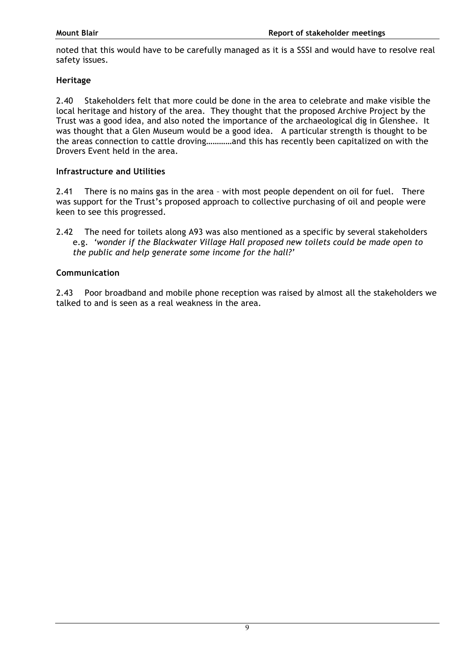noted that this would have to be carefully managed as it is a SSSI and would have to resolve real safety issues.

### **Heritage**

2.40 Stakeholders felt that more could be done in the area to celebrate and make visible the local heritage and history of the area. They thought that the proposed Archive Project by the Trust was a good idea, and also noted the importance of the archaeological dig in Glenshee. It was thought that a Glen Museum would be a good idea. A particular strength is thought to be the areas connection to cattle droving…………and this has recently been capitalized on with the Drovers Event held in the area.

### **Infrastructure and Utilities**

2.41 There is no mains gas in the area – with most people dependent on oil for fuel. There was support for the Trust's proposed approach to collective purchasing of oil and people were keen to see this progressed.

2.42 The need for toilets along A93 was also mentioned as a specific by several stakeholders e.g. *'wonder if the Blackwater Village Hall proposed new toilets could be made open to the public and help generate some income for the hall?'*

### **Communication**

2.43 Poor broadband and mobile phone reception was raised by almost all the stakeholders we talked to and is seen as a real weakness in the area.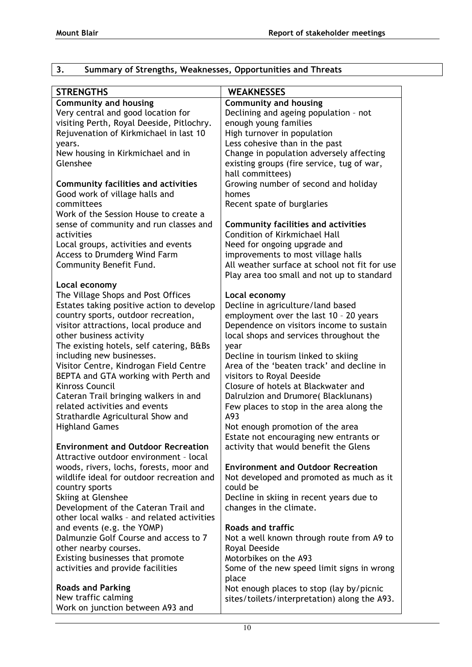| <b>WEAKNESSES</b><br><b>STRENGTHS</b><br><b>Community and housing</b><br><b>Community and housing</b><br>Declining and ageing population - not<br>Very central and good location for<br>visiting Perth, Royal Deeside, Pitlochry.<br>enough young families<br>Rejuvenation of Kirkmichael in last 10<br>High turnover in population<br>Less cohesive than in the past<br>years.<br>Change in population adversely affecting<br>New housing in Kirkmichael and in<br>Glenshee<br>existing groups (fire service, tug of war,<br>hall committees)<br>Growing number of second and holiday<br><b>Community facilities and activities</b><br>Good work of village halls and<br>homes<br>committees<br>Recent spate of burglaries<br>Work of the Session House to create a<br>sense of community and run classes and<br><b>Community facilities and activities</b><br><b>Condition of Kirkmichael Hall</b><br>activities<br>Local groups, activities and events<br>Need for ongoing upgrade and<br>Access to Drumderg Wind Farm<br>improvements to most village halls<br>Community Benefit Fund.<br>All weather surface at school not fit for use<br>Play area too small and not up to standard<br>Local economy<br>The Village Shops and Post Offices<br>Local economy<br>Decline in agriculture/land based<br>Estates taking positive action to develop<br>employment over the last 10 - 20 years<br>country sports, outdoor recreation,<br>Dependence on visitors income to sustain<br>visitor attractions, local produce and<br>other business activity<br>local shops and services throughout the<br>The existing hotels, self catering, B&Bs<br>year<br>including new businesses.<br>Decline in tourism linked to skiing<br>Visitor Centre, Kindrogan Field Centre<br>Area of the 'beaten track' and decline in<br>BEPTA and GTA working with Perth and<br>visitors to Royal Deeside<br><b>Kinross Council</b><br>Closure of hotels at Blackwater and<br>Cateran Trail bringing walkers in and<br>Dalrulzion and Drumore(Blacklunans)<br>related activities and events<br>Few places to stop in the area along the<br>Strathardle Agricultural Show and<br>A93<br>Not enough promotion of the area<br><b>Highland Games</b><br>Estate not encouraging new entrants or<br><b>Environment and Outdoor Recreation</b><br>activity that would benefit the Glens<br>Attractive outdoor environment - local<br>woods, rivers, lochs, forests, moor and<br><b>Environment and Outdoor Recreation</b><br>wildlife ideal for outdoor recreation and<br>Not developed and promoted as much as it<br>could be<br>country sports<br>Skiing at Glenshee<br>Decline in skiing in recent years due to<br>Development of the Cateran Trail and<br>changes in the climate.<br>other local walks - and related activities<br><b>Roads and traffic</b><br>and events (e.g. the YOMP)<br>Dalmunzie Golf Course and access to 7<br>Not a well known through route from A9 to<br>other nearby courses.<br>Royal Deeside<br>Existing businesses that promote<br>Motorbikes on the A93<br>activities and provide facilities<br>Some of the new speed limit signs in wrong<br>place | د.<br>Summary of Strengths, Weaknesses, Opportunities and Inreats |  |
|------------------------------------------------------------------------------------------------------------------------------------------------------------------------------------------------------------------------------------------------------------------------------------------------------------------------------------------------------------------------------------------------------------------------------------------------------------------------------------------------------------------------------------------------------------------------------------------------------------------------------------------------------------------------------------------------------------------------------------------------------------------------------------------------------------------------------------------------------------------------------------------------------------------------------------------------------------------------------------------------------------------------------------------------------------------------------------------------------------------------------------------------------------------------------------------------------------------------------------------------------------------------------------------------------------------------------------------------------------------------------------------------------------------------------------------------------------------------------------------------------------------------------------------------------------------------------------------------------------------------------------------------------------------------------------------------------------------------------------------------------------------------------------------------------------------------------------------------------------------------------------------------------------------------------------------------------------------------------------------------------------------------------------------------------------------------------------------------------------------------------------------------------------------------------------------------------------------------------------------------------------------------------------------------------------------------------------------------------------------------------------------------------------------------------------------------------------------------------------------------------------------------------------------------------------------------------------------------------------------------------------------------------------------------------------------------------------------------------------------------------------------------------------------------------------------------------------------------------------------------------------------------------------------------------------------------------------------------------------------------------------------------------------------------------------------------------------------------------------------------------------------------------------|-------------------------------------------------------------------|--|
|                                                                                                                                                                                                                                                                                                                                                                                                                                                                                                                                                                                                                                                                                                                                                                                                                                                                                                                                                                                                                                                                                                                                                                                                                                                                                                                                                                                                                                                                                                                                                                                                                                                                                                                                                                                                                                                                                                                                                                                                                                                                                                                                                                                                                                                                                                                                                                                                                                                                                                                                                                                                                                                                                                                                                                                                                                                                                                                                                                                                                                                                                                                                                            |                                                                   |  |
|                                                                                                                                                                                                                                                                                                                                                                                                                                                                                                                                                                                                                                                                                                                                                                                                                                                                                                                                                                                                                                                                                                                                                                                                                                                                                                                                                                                                                                                                                                                                                                                                                                                                                                                                                                                                                                                                                                                                                                                                                                                                                                                                                                                                                                                                                                                                                                                                                                                                                                                                                                                                                                                                                                                                                                                                                                                                                                                                                                                                                                                                                                                                                            |                                                                   |  |
|                                                                                                                                                                                                                                                                                                                                                                                                                                                                                                                                                                                                                                                                                                                                                                                                                                                                                                                                                                                                                                                                                                                                                                                                                                                                                                                                                                                                                                                                                                                                                                                                                                                                                                                                                                                                                                                                                                                                                                                                                                                                                                                                                                                                                                                                                                                                                                                                                                                                                                                                                                                                                                                                                                                                                                                                                                                                                                                                                                                                                                                                                                                                                            |                                                                   |  |
|                                                                                                                                                                                                                                                                                                                                                                                                                                                                                                                                                                                                                                                                                                                                                                                                                                                                                                                                                                                                                                                                                                                                                                                                                                                                                                                                                                                                                                                                                                                                                                                                                                                                                                                                                                                                                                                                                                                                                                                                                                                                                                                                                                                                                                                                                                                                                                                                                                                                                                                                                                                                                                                                                                                                                                                                                                                                                                                                                                                                                                                                                                                                                            |                                                                   |  |
|                                                                                                                                                                                                                                                                                                                                                                                                                                                                                                                                                                                                                                                                                                                                                                                                                                                                                                                                                                                                                                                                                                                                                                                                                                                                                                                                                                                                                                                                                                                                                                                                                                                                                                                                                                                                                                                                                                                                                                                                                                                                                                                                                                                                                                                                                                                                                                                                                                                                                                                                                                                                                                                                                                                                                                                                                                                                                                                                                                                                                                                                                                                                                            |                                                                   |  |
|                                                                                                                                                                                                                                                                                                                                                                                                                                                                                                                                                                                                                                                                                                                                                                                                                                                                                                                                                                                                                                                                                                                                                                                                                                                                                                                                                                                                                                                                                                                                                                                                                                                                                                                                                                                                                                                                                                                                                                                                                                                                                                                                                                                                                                                                                                                                                                                                                                                                                                                                                                                                                                                                                                                                                                                                                                                                                                                                                                                                                                                                                                                                                            |                                                                   |  |
|                                                                                                                                                                                                                                                                                                                                                                                                                                                                                                                                                                                                                                                                                                                                                                                                                                                                                                                                                                                                                                                                                                                                                                                                                                                                                                                                                                                                                                                                                                                                                                                                                                                                                                                                                                                                                                                                                                                                                                                                                                                                                                                                                                                                                                                                                                                                                                                                                                                                                                                                                                                                                                                                                                                                                                                                                                                                                                                                                                                                                                                                                                                                                            |                                                                   |  |
|                                                                                                                                                                                                                                                                                                                                                                                                                                                                                                                                                                                                                                                                                                                                                                                                                                                                                                                                                                                                                                                                                                                                                                                                                                                                                                                                                                                                                                                                                                                                                                                                                                                                                                                                                                                                                                                                                                                                                                                                                                                                                                                                                                                                                                                                                                                                                                                                                                                                                                                                                                                                                                                                                                                                                                                                                                                                                                                                                                                                                                                                                                                                                            |                                                                   |  |
|                                                                                                                                                                                                                                                                                                                                                                                                                                                                                                                                                                                                                                                                                                                                                                                                                                                                                                                                                                                                                                                                                                                                                                                                                                                                                                                                                                                                                                                                                                                                                                                                                                                                                                                                                                                                                                                                                                                                                                                                                                                                                                                                                                                                                                                                                                                                                                                                                                                                                                                                                                                                                                                                                                                                                                                                                                                                                                                                                                                                                                                                                                                                                            |                                                                   |  |
|                                                                                                                                                                                                                                                                                                                                                                                                                                                                                                                                                                                                                                                                                                                                                                                                                                                                                                                                                                                                                                                                                                                                                                                                                                                                                                                                                                                                                                                                                                                                                                                                                                                                                                                                                                                                                                                                                                                                                                                                                                                                                                                                                                                                                                                                                                                                                                                                                                                                                                                                                                                                                                                                                                                                                                                                                                                                                                                                                                                                                                                                                                                                                            |                                                                   |  |
|                                                                                                                                                                                                                                                                                                                                                                                                                                                                                                                                                                                                                                                                                                                                                                                                                                                                                                                                                                                                                                                                                                                                                                                                                                                                                                                                                                                                                                                                                                                                                                                                                                                                                                                                                                                                                                                                                                                                                                                                                                                                                                                                                                                                                                                                                                                                                                                                                                                                                                                                                                                                                                                                                                                                                                                                                                                                                                                                                                                                                                                                                                                                                            |                                                                   |  |
|                                                                                                                                                                                                                                                                                                                                                                                                                                                                                                                                                                                                                                                                                                                                                                                                                                                                                                                                                                                                                                                                                                                                                                                                                                                                                                                                                                                                                                                                                                                                                                                                                                                                                                                                                                                                                                                                                                                                                                                                                                                                                                                                                                                                                                                                                                                                                                                                                                                                                                                                                                                                                                                                                                                                                                                                                                                                                                                                                                                                                                                                                                                                                            |                                                                   |  |
|                                                                                                                                                                                                                                                                                                                                                                                                                                                                                                                                                                                                                                                                                                                                                                                                                                                                                                                                                                                                                                                                                                                                                                                                                                                                                                                                                                                                                                                                                                                                                                                                                                                                                                                                                                                                                                                                                                                                                                                                                                                                                                                                                                                                                                                                                                                                                                                                                                                                                                                                                                                                                                                                                                                                                                                                                                                                                                                                                                                                                                                                                                                                                            |                                                                   |  |
|                                                                                                                                                                                                                                                                                                                                                                                                                                                                                                                                                                                                                                                                                                                                                                                                                                                                                                                                                                                                                                                                                                                                                                                                                                                                                                                                                                                                                                                                                                                                                                                                                                                                                                                                                                                                                                                                                                                                                                                                                                                                                                                                                                                                                                                                                                                                                                                                                                                                                                                                                                                                                                                                                                                                                                                                                                                                                                                                                                                                                                                                                                                                                            |                                                                   |  |
|                                                                                                                                                                                                                                                                                                                                                                                                                                                                                                                                                                                                                                                                                                                                                                                                                                                                                                                                                                                                                                                                                                                                                                                                                                                                                                                                                                                                                                                                                                                                                                                                                                                                                                                                                                                                                                                                                                                                                                                                                                                                                                                                                                                                                                                                                                                                                                                                                                                                                                                                                                                                                                                                                                                                                                                                                                                                                                                                                                                                                                                                                                                                                            |                                                                   |  |
|                                                                                                                                                                                                                                                                                                                                                                                                                                                                                                                                                                                                                                                                                                                                                                                                                                                                                                                                                                                                                                                                                                                                                                                                                                                                                                                                                                                                                                                                                                                                                                                                                                                                                                                                                                                                                                                                                                                                                                                                                                                                                                                                                                                                                                                                                                                                                                                                                                                                                                                                                                                                                                                                                                                                                                                                                                                                                                                                                                                                                                                                                                                                                            |                                                                   |  |
|                                                                                                                                                                                                                                                                                                                                                                                                                                                                                                                                                                                                                                                                                                                                                                                                                                                                                                                                                                                                                                                                                                                                                                                                                                                                                                                                                                                                                                                                                                                                                                                                                                                                                                                                                                                                                                                                                                                                                                                                                                                                                                                                                                                                                                                                                                                                                                                                                                                                                                                                                                                                                                                                                                                                                                                                                                                                                                                                                                                                                                                                                                                                                            |                                                                   |  |
|                                                                                                                                                                                                                                                                                                                                                                                                                                                                                                                                                                                                                                                                                                                                                                                                                                                                                                                                                                                                                                                                                                                                                                                                                                                                                                                                                                                                                                                                                                                                                                                                                                                                                                                                                                                                                                                                                                                                                                                                                                                                                                                                                                                                                                                                                                                                                                                                                                                                                                                                                                                                                                                                                                                                                                                                                                                                                                                                                                                                                                                                                                                                                            |                                                                   |  |
|                                                                                                                                                                                                                                                                                                                                                                                                                                                                                                                                                                                                                                                                                                                                                                                                                                                                                                                                                                                                                                                                                                                                                                                                                                                                                                                                                                                                                                                                                                                                                                                                                                                                                                                                                                                                                                                                                                                                                                                                                                                                                                                                                                                                                                                                                                                                                                                                                                                                                                                                                                                                                                                                                                                                                                                                                                                                                                                                                                                                                                                                                                                                                            |                                                                   |  |
|                                                                                                                                                                                                                                                                                                                                                                                                                                                                                                                                                                                                                                                                                                                                                                                                                                                                                                                                                                                                                                                                                                                                                                                                                                                                                                                                                                                                                                                                                                                                                                                                                                                                                                                                                                                                                                                                                                                                                                                                                                                                                                                                                                                                                                                                                                                                                                                                                                                                                                                                                                                                                                                                                                                                                                                                                                                                                                                                                                                                                                                                                                                                                            |                                                                   |  |
|                                                                                                                                                                                                                                                                                                                                                                                                                                                                                                                                                                                                                                                                                                                                                                                                                                                                                                                                                                                                                                                                                                                                                                                                                                                                                                                                                                                                                                                                                                                                                                                                                                                                                                                                                                                                                                                                                                                                                                                                                                                                                                                                                                                                                                                                                                                                                                                                                                                                                                                                                                                                                                                                                                                                                                                                                                                                                                                                                                                                                                                                                                                                                            |                                                                   |  |
|                                                                                                                                                                                                                                                                                                                                                                                                                                                                                                                                                                                                                                                                                                                                                                                                                                                                                                                                                                                                                                                                                                                                                                                                                                                                                                                                                                                                                                                                                                                                                                                                                                                                                                                                                                                                                                                                                                                                                                                                                                                                                                                                                                                                                                                                                                                                                                                                                                                                                                                                                                                                                                                                                                                                                                                                                                                                                                                                                                                                                                                                                                                                                            |                                                                   |  |
|                                                                                                                                                                                                                                                                                                                                                                                                                                                                                                                                                                                                                                                                                                                                                                                                                                                                                                                                                                                                                                                                                                                                                                                                                                                                                                                                                                                                                                                                                                                                                                                                                                                                                                                                                                                                                                                                                                                                                                                                                                                                                                                                                                                                                                                                                                                                                                                                                                                                                                                                                                                                                                                                                                                                                                                                                                                                                                                                                                                                                                                                                                                                                            |                                                                   |  |
|                                                                                                                                                                                                                                                                                                                                                                                                                                                                                                                                                                                                                                                                                                                                                                                                                                                                                                                                                                                                                                                                                                                                                                                                                                                                                                                                                                                                                                                                                                                                                                                                                                                                                                                                                                                                                                                                                                                                                                                                                                                                                                                                                                                                                                                                                                                                                                                                                                                                                                                                                                                                                                                                                                                                                                                                                                                                                                                                                                                                                                                                                                                                                            |                                                                   |  |
|                                                                                                                                                                                                                                                                                                                                                                                                                                                                                                                                                                                                                                                                                                                                                                                                                                                                                                                                                                                                                                                                                                                                                                                                                                                                                                                                                                                                                                                                                                                                                                                                                                                                                                                                                                                                                                                                                                                                                                                                                                                                                                                                                                                                                                                                                                                                                                                                                                                                                                                                                                                                                                                                                                                                                                                                                                                                                                                                                                                                                                                                                                                                                            |                                                                   |  |
|                                                                                                                                                                                                                                                                                                                                                                                                                                                                                                                                                                                                                                                                                                                                                                                                                                                                                                                                                                                                                                                                                                                                                                                                                                                                                                                                                                                                                                                                                                                                                                                                                                                                                                                                                                                                                                                                                                                                                                                                                                                                                                                                                                                                                                                                                                                                                                                                                                                                                                                                                                                                                                                                                                                                                                                                                                                                                                                                                                                                                                                                                                                                                            |                                                                   |  |
|                                                                                                                                                                                                                                                                                                                                                                                                                                                                                                                                                                                                                                                                                                                                                                                                                                                                                                                                                                                                                                                                                                                                                                                                                                                                                                                                                                                                                                                                                                                                                                                                                                                                                                                                                                                                                                                                                                                                                                                                                                                                                                                                                                                                                                                                                                                                                                                                                                                                                                                                                                                                                                                                                                                                                                                                                                                                                                                                                                                                                                                                                                                                                            |                                                                   |  |
|                                                                                                                                                                                                                                                                                                                                                                                                                                                                                                                                                                                                                                                                                                                                                                                                                                                                                                                                                                                                                                                                                                                                                                                                                                                                                                                                                                                                                                                                                                                                                                                                                                                                                                                                                                                                                                                                                                                                                                                                                                                                                                                                                                                                                                                                                                                                                                                                                                                                                                                                                                                                                                                                                                                                                                                                                                                                                                                                                                                                                                                                                                                                                            |                                                                   |  |
|                                                                                                                                                                                                                                                                                                                                                                                                                                                                                                                                                                                                                                                                                                                                                                                                                                                                                                                                                                                                                                                                                                                                                                                                                                                                                                                                                                                                                                                                                                                                                                                                                                                                                                                                                                                                                                                                                                                                                                                                                                                                                                                                                                                                                                                                                                                                                                                                                                                                                                                                                                                                                                                                                                                                                                                                                                                                                                                                                                                                                                                                                                                                                            |                                                                   |  |
|                                                                                                                                                                                                                                                                                                                                                                                                                                                                                                                                                                                                                                                                                                                                                                                                                                                                                                                                                                                                                                                                                                                                                                                                                                                                                                                                                                                                                                                                                                                                                                                                                                                                                                                                                                                                                                                                                                                                                                                                                                                                                                                                                                                                                                                                                                                                                                                                                                                                                                                                                                                                                                                                                                                                                                                                                                                                                                                                                                                                                                                                                                                                                            |                                                                   |  |
|                                                                                                                                                                                                                                                                                                                                                                                                                                                                                                                                                                                                                                                                                                                                                                                                                                                                                                                                                                                                                                                                                                                                                                                                                                                                                                                                                                                                                                                                                                                                                                                                                                                                                                                                                                                                                                                                                                                                                                                                                                                                                                                                                                                                                                                                                                                                                                                                                                                                                                                                                                                                                                                                                                                                                                                                                                                                                                                                                                                                                                                                                                                                                            |                                                                   |  |
|                                                                                                                                                                                                                                                                                                                                                                                                                                                                                                                                                                                                                                                                                                                                                                                                                                                                                                                                                                                                                                                                                                                                                                                                                                                                                                                                                                                                                                                                                                                                                                                                                                                                                                                                                                                                                                                                                                                                                                                                                                                                                                                                                                                                                                                                                                                                                                                                                                                                                                                                                                                                                                                                                                                                                                                                                                                                                                                                                                                                                                                                                                                                                            |                                                                   |  |
|                                                                                                                                                                                                                                                                                                                                                                                                                                                                                                                                                                                                                                                                                                                                                                                                                                                                                                                                                                                                                                                                                                                                                                                                                                                                                                                                                                                                                                                                                                                                                                                                                                                                                                                                                                                                                                                                                                                                                                                                                                                                                                                                                                                                                                                                                                                                                                                                                                                                                                                                                                                                                                                                                                                                                                                                                                                                                                                                                                                                                                                                                                                                                            |                                                                   |  |
|                                                                                                                                                                                                                                                                                                                                                                                                                                                                                                                                                                                                                                                                                                                                                                                                                                                                                                                                                                                                                                                                                                                                                                                                                                                                                                                                                                                                                                                                                                                                                                                                                                                                                                                                                                                                                                                                                                                                                                                                                                                                                                                                                                                                                                                                                                                                                                                                                                                                                                                                                                                                                                                                                                                                                                                                                                                                                                                                                                                                                                                                                                                                                            |                                                                   |  |
|                                                                                                                                                                                                                                                                                                                                                                                                                                                                                                                                                                                                                                                                                                                                                                                                                                                                                                                                                                                                                                                                                                                                                                                                                                                                                                                                                                                                                                                                                                                                                                                                                                                                                                                                                                                                                                                                                                                                                                                                                                                                                                                                                                                                                                                                                                                                                                                                                                                                                                                                                                                                                                                                                                                                                                                                                                                                                                                                                                                                                                                                                                                                                            |                                                                   |  |
|                                                                                                                                                                                                                                                                                                                                                                                                                                                                                                                                                                                                                                                                                                                                                                                                                                                                                                                                                                                                                                                                                                                                                                                                                                                                                                                                                                                                                                                                                                                                                                                                                                                                                                                                                                                                                                                                                                                                                                                                                                                                                                                                                                                                                                                                                                                                                                                                                                                                                                                                                                                                                                                                                                                                                                                                                                                                                                                                                                                                                                                                                                                                                            |                                                                   |  |
|                                                                                                                                                                                                                                                                                                                                                                                                                                                                                                                                                                                                                                                                                                                                                                                                                                                                                                                                                                                                                                                                                                                                                                                                                                                                                                                                                                                                                                                                                                                                                                                                                                                                                                                                                                                                                                                                                                                                                                                                                                                                                                                                                                                                                                                                                                                                                                                                                                                                                                                                                                                                                                                                                                                                                                                                                                                                                                                                                                                                                                                                                                                                                            |                                                                   |  |
|                                                                                                                                                                                                                                                                                                                                                                                                                                                                                                                                                                                                                                                                                                                                                                                                                                                                                                                                                                                                                                                                                                                                                                                                                                                                                                                                                                                                                                                                                                                                                                                                                                                                                                                                                                                                                                                                                                                                                                                                                                                                                                                                                                                                                                                                                                                                                                                                                                                                                                                                                                                                                                                                                                                                                                                                                                                                                                                                                                                                                                                                                                                                                            |                                                                   |  |
|                                                                                                                                                                                                                                                                                                                                                                                                                                                                                                                                                                                                                                                                                                                                                                                                                                                                                                                                                                                                                                                                                                                                                                                                                                                                                                                                                                                                                                                                                                                                                                                                                                                                                                                                                                                                                                                                                                                                                                                                                                                                                                                                                                                                                                                                                                                                                                                                                                                                                                                                                                                                                                                                                                                                                                                                                                                                                                                                                                                                                                                                                                                                                            |                                                                   |  |
|                                                                                                                                                                                                                                                                                                                                                                                                                                                                                                                                                                                                                                                                                                                                                                                                                                                                                                                                                                                                                                                                                                                                                                                                                                                                                                                                                                                                                                                                                                                                                                                                                                                                                                                                                                                                                                                                                                                                                                                                                                                                                                                                                                                                                                                                                                                                                                                                                                                                                                                                                                                                                                                                                                                                                                                                                                                                                                                                                                                                                                                                                                                                                            |                                                                   |  |
|                                                                                                                                                                                                                                                                                                                                                                                                                                                                                                                                                                                                                                                                                                                                                                                                                                                                                                                                                                                                                                                                                                                                                                                                                                                                                                                                                                                                                                                                                                                                                                                                                                                                                                                                                                                                                                                                                                                                                                                                                                                                                                                                                                                                                                                                                                                                                                                                                                                                                                                                                                                                                                                                                                                                                                                                                                                                                                                                                                                                                                                                                                                                                            |                                                                   |  |
|                                                                                                                                                                                                                                                                                                                                                                                                                                                                                                                                                                                                                                                                                                                                                                                                                                                                                                                                                                                                                                                                                                                                                                                                                                                                                                                                                                                                                                                                                                                                                                                                                                                                                                                                                                                                                                                                                                                                                                                                                                                                                                                                                                                                                                                                                                                                                                                                                                                                                                                                                                                                                                                                                                                                                                                                                                                                                                                                                                                                                                                                                                                                                            |                                                                   |  |
|                                                                                                                                                                                                                                                                                                                                                                                                                                                                                                                                                                                                                                                                                                                                                                                                                                                                                                                                                                                                                                                                                                                                                                                                                                                                                                                                                                                                                                                                                                                                                                                                                                                                                                                                                                                                                                                                                                                                                                                                                                                                                                                                                                                                                                                                                                                                                                                                                                                                                                                                                                                                                                                                                                                                                                                                                                                                                                                                                                                                                                                                                                                                                            |                                                                   |  |
|                                                                                                                                                                                                                                                                                                                                                                                                                                                                                                                                                                                                                                                                                                                                                                                                                                                                                                                                                                                                                                                                                                                                                                                                                                                                                                                                                                                                                                                                                                                                                                                                                                                                                                                                                                                                                                                                                                                                                                                                                                                                                                                                                                                                                                                                                                                                                                                                                                                                                                                                                                                                                                                                                                                                                                                                                                                                                                                                                                                                                                                                                                                                                            |                                                                   |  |
|                                                                                                                                                                                                                                                                                                                                                                                                                                                                                                                                                                                                                                                                                                                                                                                                                                                                                                                                                                                                                                                                                                                                                                                                                                                                                                                                                                                                                                                                                                                                                                                                                                                                                                                                                                                                                                                                                                                                                                                                                                                                                                                                                                                                                                                                                                                                                                                                                                                                                                                                                                                                                                                                                                                                                                                                                                                                                                                                                                                                                                                                                                                                                            |                                                                   |  |
|                                                                                                                                                                                                                                                                                                                                                                                                                                                                                                                                                                                                                                                                                                                                                                                                                                                                                                                                                                                                                                                                                                                                                                                                                                                                                                                                                                                                                                                                                                                                                                                                                                                                                                                                                                                                                                                                                                                                                                                                                                                                                                                                                                                                                                                                                                                                                                                                                                                                                                                                                                                                                                                                                                                                                                                                                                                                                                                                                                                                                                                                                                                                                            |                                                                   |  |
|                                                                                                                                                                                                                                                                                                                                                                                                                                                                                                                                                                                                                                                                                                                                                                                                                                                                                                                                                                                                                                                                                                                                                                                                                                                                                                                                                                                                                                                                                                                                                                                                                                                                                                                                                                                                                                                                                                                                                                                                                                                                                                                                                                                                                                                                                                                                                                                                                                                                                                                                                                                                                                                                                                                                                                                                                                                                                                                                                                                                                                                                                                                                                            |                                                                   |  |
|                                                                                                                                                                                                                                                                                                                                                                                                                                                                                                                                                                                                                                                                                                                                                                                                                                                                                                                                                                                                                                                                                                                                                                                                                                                                                                                                                                                                                                                                                                                                                                                                                                                                                                                                                                                                                                                                                                                                                                                                                                                                                                                                                                                                                                                                                                                                                                                                                                                                                                                                                                                                                                                                                                                                                                                                                                                                                                                                                                                                                                                                                                                                                            |                                                                   |  |
|                                                                                                                                                                                                                                                                                                                                                                                                                                                                                                                                                                                                                                                                                                                                                                                                                                                                                                                                                                                                                                                                                                                                                                                                                                                                                                                                                                                                                                                                                                                                                                                                                                                                                                                                                                                                                                                                                                                                                                                                                                                                                                                                                                                                                                                                                                                                                                                                                                                                                                                                                                                                                                                                                                                                                                                                                                                                                                                                                                                                                                                                                                                                                            |                                                                   |  |
|                                                                                                                                                                                                                                                                                                                                                                                                                                                                                                                                                                                                                                                                                                                                                                                                                                                                                                                                                                                                                                                                                                                                                                                                                                                                                                                                                                                                                                                                                                                                                                                                                                                                                                                                                                                                                                                                                                                                                                                                                                                                                                                                                                                                                                                                                                                                                                                                                                                                                                                                                                                                                                                                                                                                                                                                                                                                                                                                                                                                                                                                                                                                                            | <b>Roads and Parking</b>                                          |  |
| Not enough places to stop (lay by/picnic<br>New traffic calming<br>sites/toilets/interpretation) along the A93.                                                                                                                                                                                                                                                                                                                                                                                                                                                                                                                                                                                                                                                                                                                                                                                                                                                                                                                                                                                                                                                                                                                                                                                                                                                                                                                                                                                                                                                                                                                                                                                                                                                                                                                                                                                                                                                                                                                                                                                                                                                                                                                                                                                                                                                                                                                                                                                                                                                                                                                                                                                                                                                                                                                                                                                                                                                                                                                                                                                                                                            |                                                                   |  |
| Work on junction between A93 and                                                                                                                                                                                                                                                                                                                                                                                                                                                                                                                                                                                                                                                                                                                                                                                                                                                                                                                                                                                                                                                                                                                                                                                                                                                                                                                                                                                                                                                                                                                                                                                                                                                                                                                                                                                                                                                                                                                                                                                                                                                                                                                                                                                                                                                                                                                                                                                                                                                                                                                                                                                                                                                                                                                                                                                                                                                                                                                                                                                                                                                                                                                           |                                                                   |  |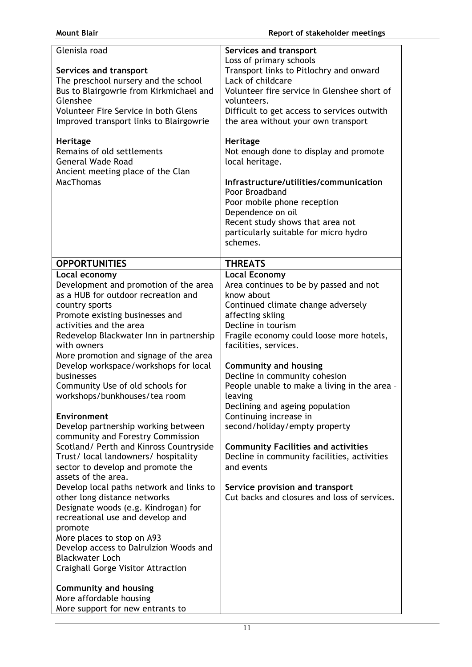| Glenisla road<br>Services and transport<br>The preschool nursery and the school<br>Bus to Blairgowrie from Kirkmichael and<br>Glenshee<br>Volunteer Fire Service in both Glens<br>Improved transport links to Blairgowrie<br>Heritage<br>Remains of old settlements<br><b>General Wade Road</b><br>Ancient meeting place of the Clan<br><b>MacThomas</b> | Services and transport<br>Loss of primary schools<br>Transport links to Pitlochry and onward<br>Lack of childcare<br>Volunteer fire service in Glenshee short of<br>volunteers.<br>Difficult to get access to services outwith<br>the area without your own transport<br><b>Heritage</b><br>Not enough done to display and promote<br>local heritage.<br>Infrastructure/utilities/communication<br>Poor Broadband<br>Poor mobile phone reception<br>Dependence on oil |
|----------------------------------------------------------------------------------------------------------------------------------------------------------------------------------------------------------------------------------------------------------------------------------------------------------------------------------------------------------|-----------------------------------------------------------------------------------------------------------------------------------------------------------------------------------------------------------------------------------------------------------------------------------------------------------------------------------------------------------------------------------------------------------------------------------------------------------------------|
|                                                                                                                                                                                                                                                                                                                                                          | Recent study shows that area not<br>particularly suitable for micro hydro<br>schemes.                                                                                                                                                                                                                                                                                                                                                                                 |
| <b>OPPORTUNITIES</b>                                                                                                                                                                                                                                                                                                                                     | <b>THREATS</b>                                                                                                                                                                                                                                                                                                                                                                                                                                                        |
| Local economy                                                                                                                                                                                                                                                                                                                                            | <b>Local Economy</b>                                                                                                                                                                                                                                                                                                                                                                                                                                                  |
| Development and promotion of the area                                                                                                                                                                                                                                                                                                                    | Area continues to be by passed and not                                                                                                                                                                                                                                                                                                                                                                                                                                |
| as a HUB for outdoor recreation and                                                                                                                                                                                                                                                                                                                      | know about                                                                                                                                                                                                                                                                                                                                                                                                                                                            |
| country sports<br>Promote existing businesses and                                                                                                                                                                                                                                                                                                        | Continued climate change adversely                                                                                                                                                                                                                                                                                                                                                                                                                                    |
| activities and the area                                                                                                                                                                                                                                                                                                                                  | affecting skiing<br>Decline in tourism                                                                                                                                                                                                                                                                                                                                                                                                                                |
| Redevelop Blackwater Inn in partnership                                                                                                                                                                                                                                                                                                                  | Fragile economy could loose more hotels,                                                                                                                                                                                                                                                                                                                                                                                                                              |
| with owners                                                                                                                                                                                                                                                                                                                                              | facilities, services.                                                                                                                                                                                                                                                                                                                                                                                                                                                 |
| More promotion and signage of the area                                                                                                                                                                                                                                                                                                                   |                                                                                                                                                                                                                                                                                                                                                                                                                                                                       |
| Develop workspace/workshops for local                                                                                                                                                                                                                                                                                                                    | <b>Community and housing</b>                                                                                                                                                                                                                                                                                                                                                                                                                                          |
| businesses                                                                                                                                                                                                                                                                                                                                               | Decline in community cohesion                                                                                                                                                                                                                                                                                                                                                                                                                                         |
| Community Use of old schools for<br>workshops/bunkhouses/tea room                                                                                                                                                                                                                                                                                        | People unable to make a living in the area -<br>leaving                                                                                                                                                                                                                                                                                                                                                                                                               |
|                                                                                                                                                                                                                                                                                                                                                          | Declining and ageing population                                                                                                                                                                                                                                                                                                                                                                                                                                       |
| <b>Environment</b>                                                                                                                                                                                                                                                                                                                                       | Continuing increase in                                                                                                                                                                                                                                                                                                                                                                                                                                                |
| Develop partnership working between                                                                                                                                                                                                                                                                                                                      | second/holiday/empty property                                                                                                                                                                                                                                                                                                                                                                                                                                         |
| community and Forestry Commission                                                                                                                                                                                                                                                                                                                        |                                                                                                                                                                                                                                                                                                                                                                                                                                                                       |
| Scotland/ Perth and Kinross Countryside                                                                                                                                                                                                                                                                                                                  | <b>Community Facilities and activities</b>                                                                                                                                                                                                                                                                                                                                                                                                                            |
| Trust/ local landowners/ hospitality<br>sector to develop and promote the                                                                                                                                                                                                                                                                                | Decline in community facilities, activities<br>and events                                                                                                                                                                                                                                                                                                                                                                                                             |
| assets of the area.                                                                                                                                                                                                                                                                                                                                      |                                                                                                                                                                                                                                                                                                                                                                                                                                                                       |
| Develop local paths network and links to                                                                                                                                                                                                                                                                                                                 | Service provision and transport                                                                                                                                                                                                                                                                                                                                                                                                                                       |
| other long distance networks                                                                                                                                                                                                                                                                                                                             | Cut backs and closures and loss of services.                                                                                                                                                                                                                                                                                                                                                                                                                          |
| Designate woods (e.g. Kindrogan) for                                                                                                                                                                                                                                                                                                                     |                                                                                                                                                                                                                                                                                                                                                                                                                                                                       |
| recreational use and develop and                                                                                                                                                                                                                                                                                                                         |                                                                                                                                                                                                                                                                                                                                                                                                                                                                       |
| promote<br>More places to stop on A93                                                                                                                                                                                                                                                                                                                    |                                                                                                                                                                                                                                                                                                                                                                                                                                                                       |
| Develop access to Dalrulzion Woods and                                                                                                                                                                                                                                                                                                                   |                                                                                                                                                                                                                                                                                                                                                                                                                                                                       |
| <b>Blackwater Loch</b>                                                                                                                                                                                                                                                                                                                                   |                                                                                                                                                                                                                                                                                                                                                                                                                                                                       |
| Craighall Gorge Visitor Attraction                                                                                                                                                                                                                                                                                                                       |                                                                                                                                                                                                                                                                                                                                                                                                                                                                       |
|                                                                                                                                                                                                                                                                                                                                                          |                                                                                                                                                                                                                                                                                                                                                                                                                                                                       |
| <b>Community and housing</b><br>More affordable housing                                                                                                                                                                                                                                                                                                  |                                                                                                                                                                                                                                                                                                                                                                                                                                                                       |
| More support for new entrants to                                                                                                                                                                                                                                                                                                                         |                                                                                                                                                                                                                                                                                                                                                                                                                                                                       |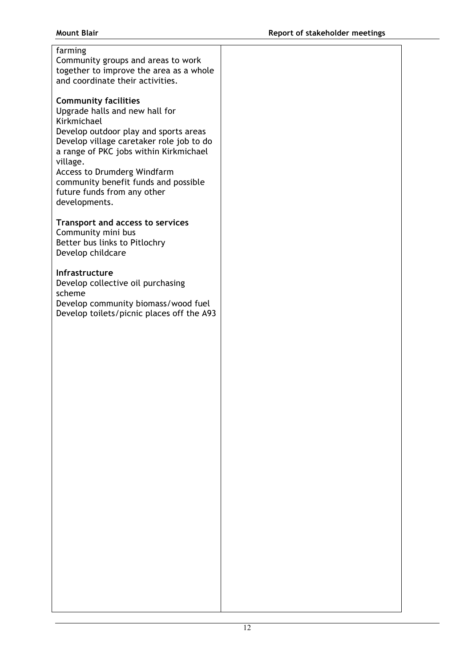# farming Community groups and areas to work

together to improve the area as a whole and coordinate their activities.

# **Community facilities**

Upgrade halls and new hall for Kirkmichael Develop outdoor play and sports areas Develop village caretaker role job to do a range of PKC jobs within Kirkmichael village.

Access to Drumderg Windfarm community benefit funds and possible future funds from any other developments.

# **Transport and access to services**

Community mini bus Better bus links to Pitlochry Develop childcare

# **Infrastructure**

Develop collective oil purchasing scheme Develop community biomass/wood fuel Develop toilets/picnic places off the A93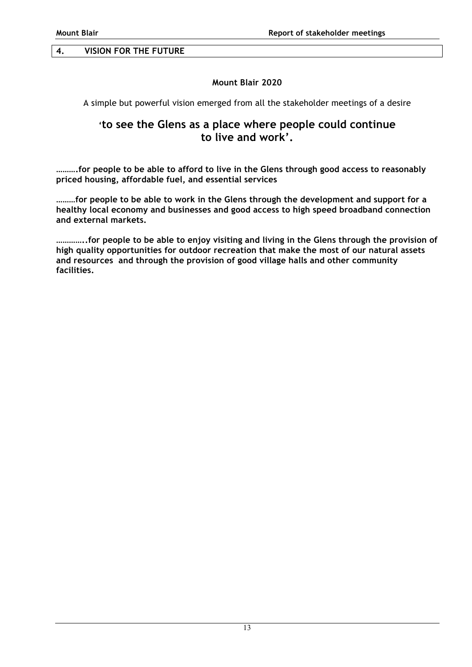# **Mount Blair 2020**

A simple but powerful vision emerged from all the stakeholder meetings of a desire

# **'to see the Glens as a place where people could continue to live and work'.**

**……….for people to be able to afford to live in the Glens through good access to reasonably priced housing, affordable fuel, and essential services**

**………for people to be able to work in the Glens through the development and support for a healthy local economy and businesses and good access to high speed broadband connection and external markets.**

**…………..for people to be able to enjoy visiting and living in the Glens through the provision of high quality opportunities for outdoor recreation that make the most of our natural assets and resources and through the provision of good village halls and other community facilities.**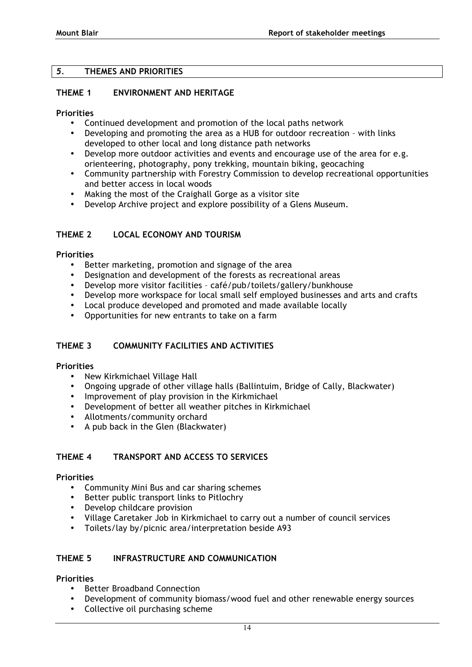### *5.* **THEMES AND PRIORITIES**

### **THEME 1 ENVIRONMENT AND HERITAGE**

#### **Priorities**

- Continued development and promotion of the local paths network
- Developing and promoting the area as a HUB for outdoor recreation with links developed to other local and long distance path networks
- Develop more outdoor activities and events and encourage use of the area for e.g. orienteering, photography, pony trekking, mountain biking, geocaching
- Community partnership with Forestry Commission to develop recreational opportunities and better access in local woods
- Making the most of the Craighall Gorge as a visitor site
- Develop Archive project and explore possibility of a Glens Museum.

# **THEME 2 LOCAL ECONOMY AND TOURISM**

### **Priorities**

- Better marketing, promotion and signage of the area
- Designation and development of the forests as recreational areas
- Develop more visitor facilities café/pub/toilets/gallery/bunkhouse
- Develop more workspace for local small self employed businesses and arts and crafts
- Local produce developed and promoted and made available locally
- Opportunities for new entrants to take on a farm

### **THEME 3 COMMUNITY FACILITIES AND ACTIVITIES**

### **Priorities**

- New Kirkmichael Village Hall
- Ongoing upgrade of other village halls (Ballintuim, Bridge of Cally, Blackwater)
- Improvement of play provision in the Kirkmichael
- Development of better all weather pitches in Kirkmichael
- Allotments/community orchard
- A pub back in the Glen (Blackwater)

### **THEME 4 TRANSPORT AND ACCESS TO SERVICES**

#### **Priorities**

- Community Mini Bus and car sharing schemes
- Better public transport links to Pitlochry
- Develop childcare provision
- Village Caretaker Job in Kirkmichael to carry out a number of council services
- Toilets/lay by/picnic area/interpretation beside A93

### **THEME 5 INFRASTRUCTURE AND COMMUNICATION**

### **Priorities**

- Better Broadband Connection
- Development of community biomass/wood fuel and other renewable energy sources
- Collective oil purchasing scheme